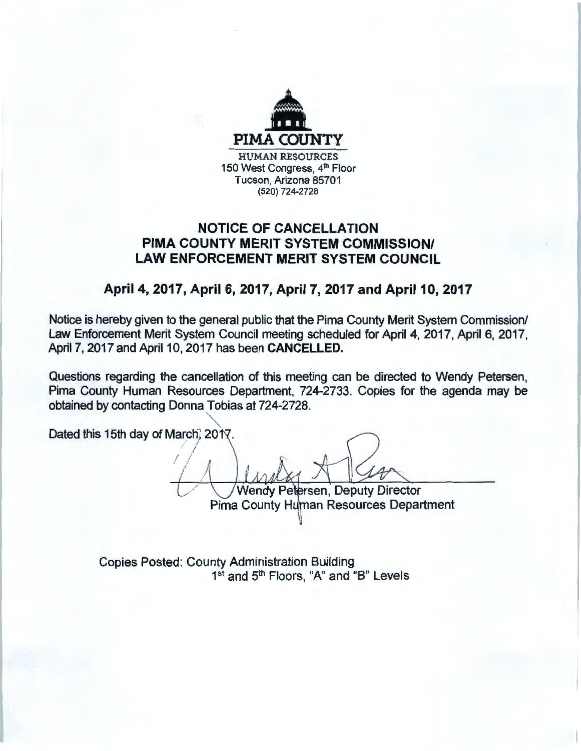

## **NOTICE OF CANCELLATION PIMA COUNTY MERIT SYSTEM COMMISSION/ LAW ENFORCEMENT MERIT SYSTEM COUNCIL**

## **April 4, 2017, April 6, 2017, April 7, 2017 and April 10, 2017**

Notice is hereby given to the general public that the Pima County Merit System Commission/ Law Enforcement Merit System Council meeting scheduled for April 4, 2017, April 6, 2017, April 7, 2017 and April 10, 2017 has been **CANCELLED.** 

Questions regarding the cancellation of this meeting can be directed to Wendy Petersen, Pima County Human Resources Department, 724-2733. Copies for the agenda may be obtained by contacting Donna Tobias at 724-2728.

Dated this 15th day of March, 2017.

 $\prime$  ,  $\prime$ ' Wendy Petersen, Deputy Director

Pima County Human Resources Department

Copies Posted: County Administration Building 1<sup>st</sup> and 5<sup>th</sup> Floors, "A" and "B" Levels